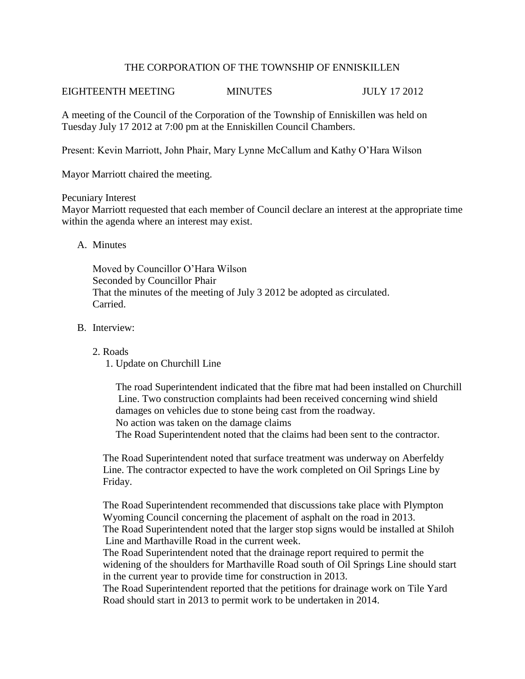## THE CORPORATION OF THE TOWNSHIP OF ENNISKILLEN

## EIGHTEENTH MEETING MINUTES JULY 17 2012

A meeting of the Council of the Corporation of the Township of Enniskillen was held on Tuesday July 17 2012 at 7:00 pm at the Enniskillen Council Chambers.

Present: Kevin Marriott, John Phair, Mary Lynne McCallum and Kathy O'Hara Wilson

Mayor Marriott chaired the meeting.

### Pecuniary Interest

Mayor Marriott requested that each member of Council declare an interest at the appropriate time within the agenda where an interest may exist.

## A. Minutes

Moved by Councillor O'Hara Wilson Seconded by Councillor Phair That the minutes of the meeting of July 3 2012 be adopted as circulated. Carried.

## B. Interview:

### 2. Roads

1. Update on Churchill Line

 The road Superintendent indicated that the fibre mat had been installed on Churchill Line. Two construction complaints had been received concerning wind shield damages on vehicles due to stone being cast from the roadway. No action was taken on the damage claims

The Road Superintendent noted that the claims had been sent to the contractor.

 The Road Superintendent noted that surface treatment was underway on Aberfeldy Line. The contractor expected to have the work completed on Oil Springs Line by Friday.

 The Road Superintendent recommended that discussions take place with Plympton Wyoming Council concerning the placement of asphalt on the road in 2013. The Road Superintendent noted that the larger stop signs would be installed at Shiloh Line and Marthaville Road in the current week.

 The Road Superintendent noted that the drainage report required to permit the widening of the shoulders for Marthaville Road south of Oil Springs Line should start in the current year to provide time for construction in 2013.

 The Road Superintendent reported that the petitions for drainage work on Tile Yard Road should start in 2013 to permit work to be undertaken in 2014.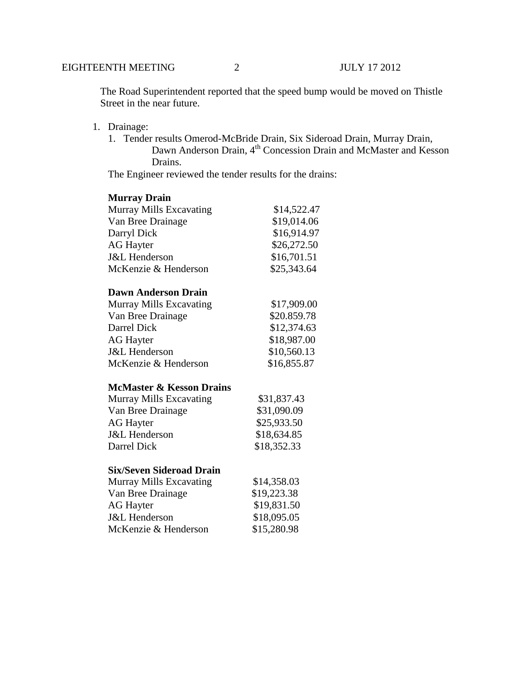The Road Superintendent reported that the speed bump would be moved on Thistle Street in the near future.

- 1. Drainage:
	- 1. Tender results Omerod-McBride Drain, Six Sideroad Drain, Murray Drain, Dawn Anderson Drain, 4<sup>th</sup> Concession Drain and McMaster and Kesson Drains.

The Engineer reviewed the tender results for the drains:

## **Murray Drain**

| <b>Murray Mills Excavating</b> | \$14,522.47 |
|--------------------------------|-------------|
| Van Bree Drainage              | \$19,014.06 |
| Darryl Dick                    | \$16,914.97 |
| <b>AG Hayter</b>               | \$26,272.50 |
| <b>J&amp;L</b> Henderson       | \$16,701.51 |
| McKenzie & Henderson           | \$25,343.64 |

### **Dawn Anderson Drain**

| <b>Murray Mills Excavating</b> | \$17,909.00 |
|--------------------------------|-------------|
| Van Bree Drainage              | \$20.859.78 |
| Darrel Dick                    | \$12,374.63 |
| <b>AG</b> Hayter               | \$18,987.00 |
| <b>J&amp;L</b> Henderson       | \$10,560.13 |
| McKenzie & Henderson           | \$16,855.87 |

# **McMaster & Kesson Drains**

| Murray Mills Excavating  | \$31,837.43 |
|--------------------------|-------------|
| Van Bree Drainage        | \$31,090.09 |
| <b>AG Hayter</b>         | \$25,933.50 |
| <b>J&amp;L</b> Henderson | \$18,634.85 |
| Darrel Dick              | \$18,352.33 |

### **Six/Seven Sideroad Drain**

| <b>Murray Mills Excavating</b> | \$14,358.03 |
|--------------------------------|-------------|
| Van Bree Drainage              | \$19,223.38 |
| <b>AG</b> Hayter               | \$19,831.50 |
| <b>J&amp;L</b> Henderson       | \$18,095.05 |
| McKenzie & Henderson           | \$15,280.98 |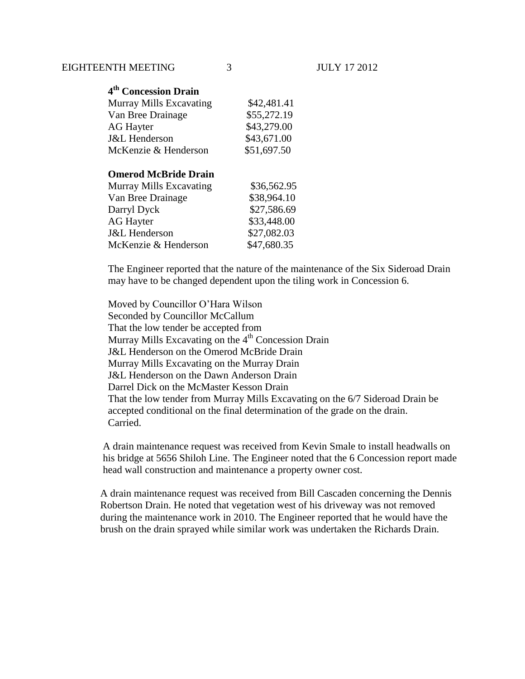| 4 <sup>th</sup> Concession Drain |             |
|----------------------------------|-------------|
| Murray Mills Excavating          | \$42,481.41 |
| Van Bree Drainage                | \$55,272.19 |
| <b>AG Hayter</b>                 | \$43,279.00 |
| <b>J&amp;L</b> Henderson         | \$43,671.00 |
| McKenzie & Henderson             | \$51,697.50 |
|                                  |             |

# **Omerod McBride Drain**

| Murray Mills Excavating  | \$36,562.95 |
|--------------------------|-------------|
| Van Bree Drainage        | \$38,964.10 |
| Darryl Dyck              | \$27,586.69 |
| <b>AG Hayter</b>         | \$33,448.00 |
| <b>J&amp;L</b> Henderson | \$27,082.03 |
| McKenzie & Henderson     | \$47,680.35 |

The Engineer reported that the nature of the maintenance of the Six Sideroad Drain may have to be changed dependent upon the tiling work in Concession 6.

Moved by Councillor O'Hara Wilson Seconded by Councillor McCallum That the low tender be accepted from Murray Mills Excavating on the  $4<sup>th</sup>$  Concession Drain J&L Henderson on the Omerod McBride Drain Murray Mills Excavating on the Murray Drain J&L Henderson on the Dawn Anderson Drain Darrel Dick on the McMaster Kesson Drain That the low tender from Murray Mills Excavating on the 6/7 Sideroad Drain be accepted conditional on the final determination of the grade on the drain. Carried.

 A drain maintenance request was received from Kevin Smale to install headwalls on his bridge at 5656 Shiloh Line. The Engineer noted that the 6 Concession report made head wall construction and maintenance a property owner cost.

 A drain maintenance request was received from Bill Cascaden concerning the Dennis Robertson Drain. He noted that vegetation west of his driveway was not removed during the maintenance work in 2010. The Engineer reported that he would have the brush on the drain sprayed while similar work was undertaken the Richards Drain.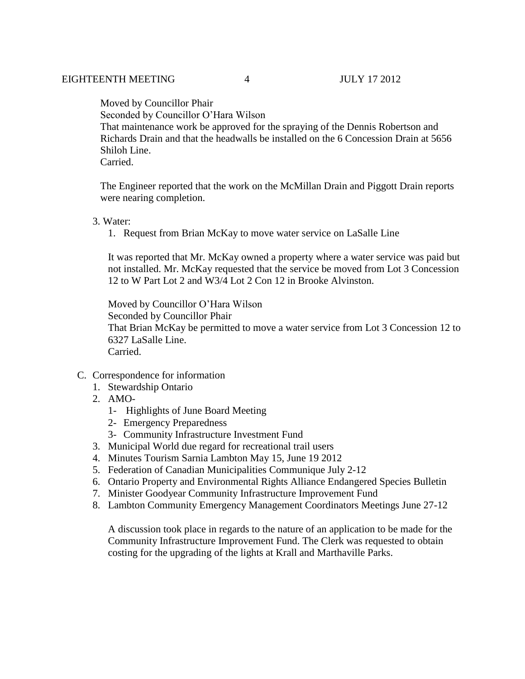Moved by Councillor Phair

Seconded by Councillor O'Hara Wilson

 That maintenance work be approved for the spraying of the Dennis Robertson and Richards Drain and that the headwalls be installed on the 6 Concession Drain at 5656 Shiloh Line.

Carried.

 The Engineer reported that the work on the McMillan Drain and Piggott Drain reports were nearing completion.

## 3. Water:

1. Request from Brian McKay to move water service on LaSalle Line

It was reported that Mr. McKay owned a property where a water service was paid but not installed. Mr. McKay requested that the service be moved from Lot 3 Concession 12 to W Part Lot 2 and W3/4 Lot 2 Con 12 in Brooke Alvinston.

Moved by Councillor O'Hara Wilson Seconded by Councillor Phair That Brian McKay be permitted to move a water service from Lot 3 Concession 12 to 6327 LaSalle Line. Carried.

- C. Correspondence for information
	- 1. Stewardship Ontario
	- 2. AMO-
		- 1- Highlights of June Board Meeting
		- 2- Emergency Preparedness
		- 3- Community Infrastructure Investment Fund
	- 3. Municipal World due regard for recreational trail users
	- 4. Minutes Tourism Sarnia Lambton May 15, June 19 2012
	- 5. Federation of Canadian Municipalities Communique July 2-12
	- 6. Ontario Property and Environmental Rights Alliance Endangered Species Bulletin
	- 7. Minister Goodyear Community Infrastructure Improvement Fund
	- 8. Lambton Community Emergency Management Coordinators Meetings June 27-12

A discussion took place in regards to the nature of an application to be made for the Community Infrastructure Improvement Fund. The Clerk was requested to obtain costing for the upgrading of the lights at Krall and Marthaville Parks.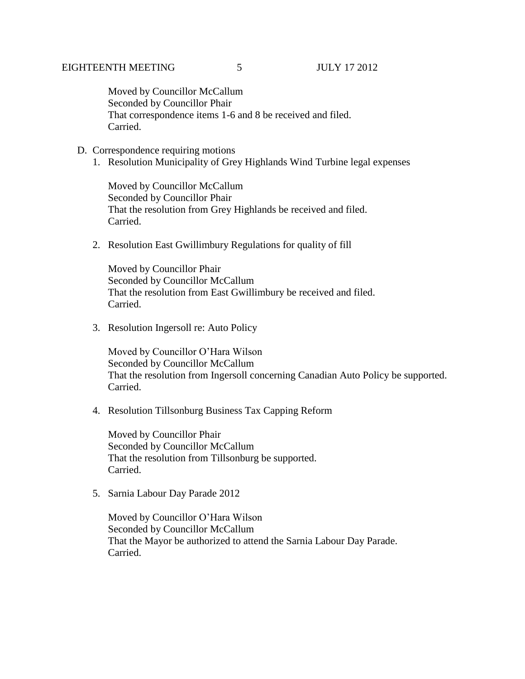Moved by Councillor McCallum Seconded by Councillor Phair That correspondence items 1-6 and 8 be received and filed. Carried.

### D. Correspondence requiring motions

1. Resolution Municipality of Grey Highlands Wind Turbine legal expenses

Moved by Councillor McCallum Seconded by Councillor Phair That the resolution from Grey Highlands be received and filed. Carried.

2. Resolution East Gwillimbury Regulations for quality of fill

Moved by Councillor Phair Seconded by Councillor McCallum That the resolution from East Gwillimbury be received and filed. Carried.

3. Resolution Ingersoll re: Auto Policy

Moved by Councillor O'Hara Wilson Seconded by Councillor McCallum That the resolution from Ingersoll concerning Canadian Auto Policy be supported. Carried.

## 4. Resolution Tillsonburg Business Tax Capping Reform

Moved by Councillor Phair Seconded by Councillor McCallum That the resolution from Tillsonburg be supported. Carried.

5. Sarnia Labour Day Parade 2012

Moved by Councillor O'Hara Wilson Seconded by Councillor McCallum That the Mayor be authorized to attend the Sarnia Labour Day Parade. Carried.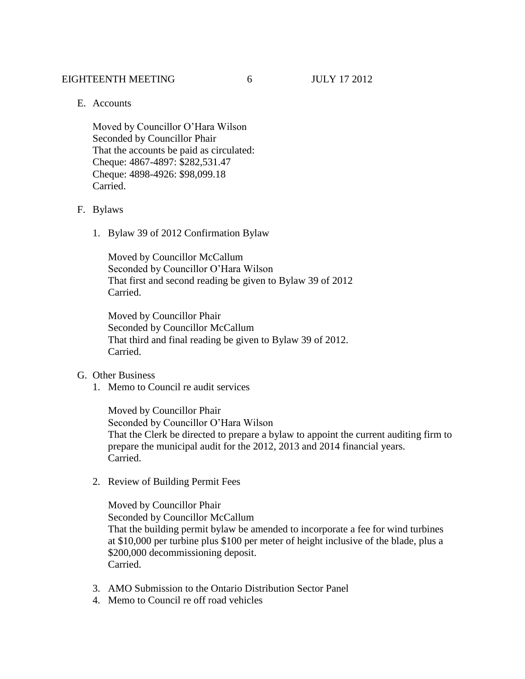#### EIGHTEENTH MEETING 6 JULY 17 2012

E. Accounts

Moved by Councillor O'Hara Wilson Seconded by Councillor Phair That the accounts be paid as circulated: Cheque: 4867-4897: \$282,531.47 Cheque: 4898-4926: \$98,099.18 Carried.

#### F. Bylaws

1. Bylaw 39 of 2012 Confirmation Bylaw

Moved by Councillor McCallum Seconded by Councillor O'Hara Wilson That first and second reading be given to Bylaw 39 of 2012 Carried.

Moved by Councillor Phair Seconded by Councillor McCallum That third and final reading be given to Bylaw 39 of 2012. Carried.

- G. Other Business
	- 1. Memo to Council re audit services

Moved by Councillor Phair Seconded by Councillor O'Hara Wilson That the Clerk be directed to prepare a bylaw to appoint the current auditing firm to prepare the municipal audit for the 2012, 2013 and 2014 financial years. Carried.

2. Review of Building Permit Fees

Moved by Councillor Phair Seconded by Councillor McCallum That the building permit bylaw be amended to incorporate a fee for wind turbines at \$10,000 per turbine plus \$100 per meter of height inclusive of the blade, plus a \$200,000 decommissioning deposit. Carried.

- 3. AMO Submission to the Ontario Distribution Sector Panel
- 4. Memo to Council re off road vehicles